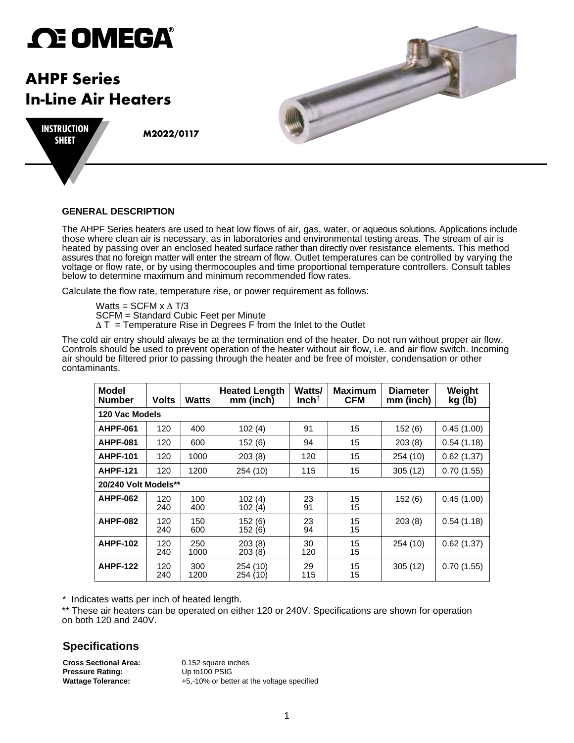# *C***E OMEGA®**

# **AHPF Series In-Line Air Heaters**



**M2022/0117 INSTRUCTION SHEET**

### **GENERAL DESCRIPTION**

The AHPF Series heaters are used to heat low flows of air, gas, water, or aqueous solutions. Applications include those where clean air is necessary, as in laboratories and environmental testing areas. The stream of air is heated by passing over an enclosed heated surface rather than directly over resistance elements. This method assures that no foreign matter will enter the stream of flow. Outlet temperatures can be controlled by varying the voltage or flow rate, or by using thermocouples and time proportional temperature controllers. Consult tables below to determine maximum and minimum recommended flow rates.

Calculate the flow rate, temperature rise, or power requirement as follows:

Watts = SCFM  $x \Delta T/3$ 

SCFM = Standard Cubic Feet per Minute

 $\Delta T$  = Temperature Rise in Degrees F from the Inlet to the Outlet

The cold air entry should always be at the termination end of the heater. Do not run without proper air flow. Controls should be used to prevent operation of the heater without air flow, i.e. and air flow switch. Incoming air should be filtered prior to passing through the heater and be free of moister, condensation or other contaminants.

| <b>Model</b><br><b>Number</b> | <b>Volts</b> | <b>Watts</b> | <b>Heated Length</b><br>$mm$ (inch) | Watts/<br>Inch† | <b>Maximum</b><br><b>CFM</b> | <b>Diameter</b><br>mm (inch) | Weight<br>kg (lb) |  |
|-------------------------------|--------------|--------------|-------------------------------------|-----------------|------------------------------|------------------------------|-------------------|--|
| 120 Vac Models                |              |              |                                     |                 |                              |                              |                   |  |
| <b>AHPF-061</b>               | 120          | 400          | 102(4)                              | 91              | 15                           | 152(6)                       | 0.45(1.00)        |  |
| <b>AHPF-081</b>               | 120          | 600          | 152(6)                              | 94              | 15                           | 203(8)                       | 0.54(1.18)        |  |
| <b>AHPF-101</b>               | 120          | 1000         | 203(8)                              | 120             | 15                           | 254 (10)                     | 0.62(1.37)        |  |
| <b>AHPF-121</b>               | 120          | 1200         | 254 (10)                            | 115             | 15                           | 305(12)                      | 0.70(1.55)        |  |
| 20/240 Volt Models**          |              |              |                                     |                 |                              |                              |                   |  |
| <b>AHPF-062</b>               | 120<br>240   | 100<br>400   | 102(4)<br>102(4)                    | 23<br>91        | 15<br>15                     | 152(6)                       | 0.45(1.00)        |  |
| <b>AHPF-082</b>               | 120<br>240   | 150<br>600   | 152(6)<br>152(6)                    | 23<br>94        | 15<br>15                     | 203(8)                       | 0.54(1.18)        |  |
| <b>AHPF-102</b>               | 120<br>240   | 250<br>1000  | 203(8)<br>203(8)                    | 30<br>120       | 15<br>15                     | 254(10)                      | 0.62(1.37)        |  |
| <b>AHPF-122</b>               | 120<br>240   | 300<br>1200  | 254 (10)<br>254 (10)                | 29<br>115       | 15<br>15                     | 305(12)                      | 0.70(1.55)        |  |

*\** Indicates watts per inch of heated length.

\*\* These air heaters can be operated on either 120 or 240V. Specifications are shown for operation on both 120 and 240V.

## **Specifications**

**Cross Sectional Area:** 0.152 square inches<br> **Pressure Rating:** Up to 100 PSIG **Pressure Rating:** 

**Wattage Tolerance:** +5,-10% or better at the voltage specified